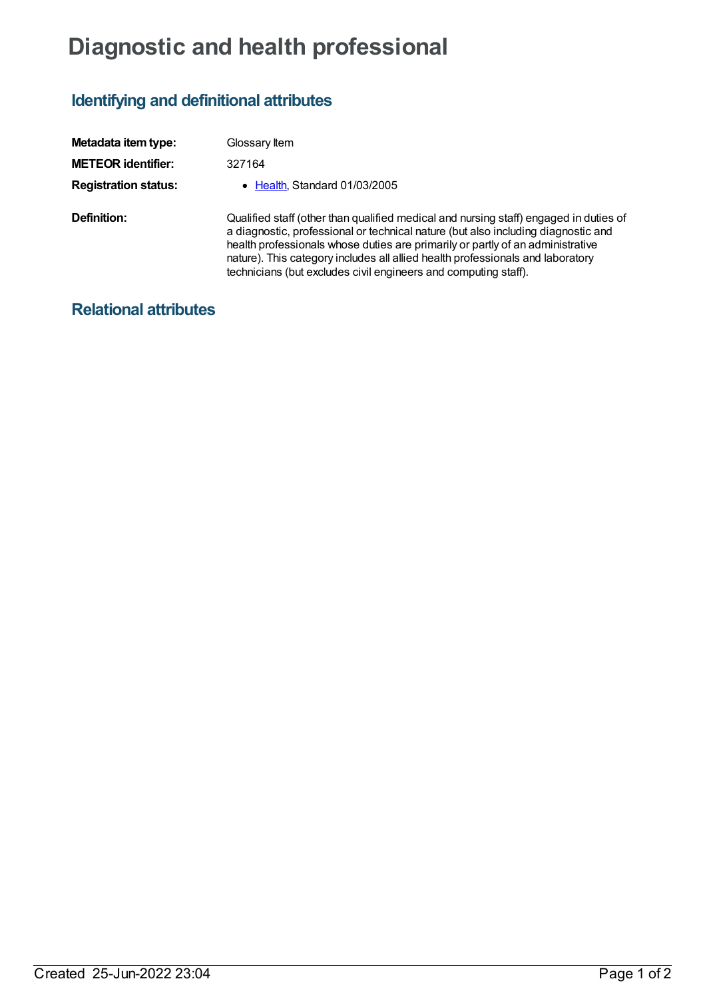## **Diagnostic and health professional**

## **Identifying and definitional attributes**

| Metadata item type:         | Glossary Item                                                                                                                                                                                                                                                                                                                                                                                                     |
|-----------------------------|-------------------------------------------------------------------------------------------------------------------------------------------------------------------------------------------------------------------------------------------------------------------------------------------------------------------------------------------------------------------------------------------------------------------|
| <b>METEOR identifier:</b>   | 327164                                                                                                                                                                                                                                                                                                                                                                                                            |
| <b>Registration status:</b> | • Health Standard 01/03/2005                                                                                                                                                                                                                                                                                                                                                                                      |
| Definition:                 | Qualified staff (other than qualified medical and nursing staff) engaged in duties of<br>a diagnostic, professional or technical nature (but also including diagnostic and<br>health professionals whose duties are primarily or partly of an administrative<br>nature). This category includes all allied health professionals and laboratory<br>technicians (but excludes civil engineers and computing staff). |

## **Relational attributes**